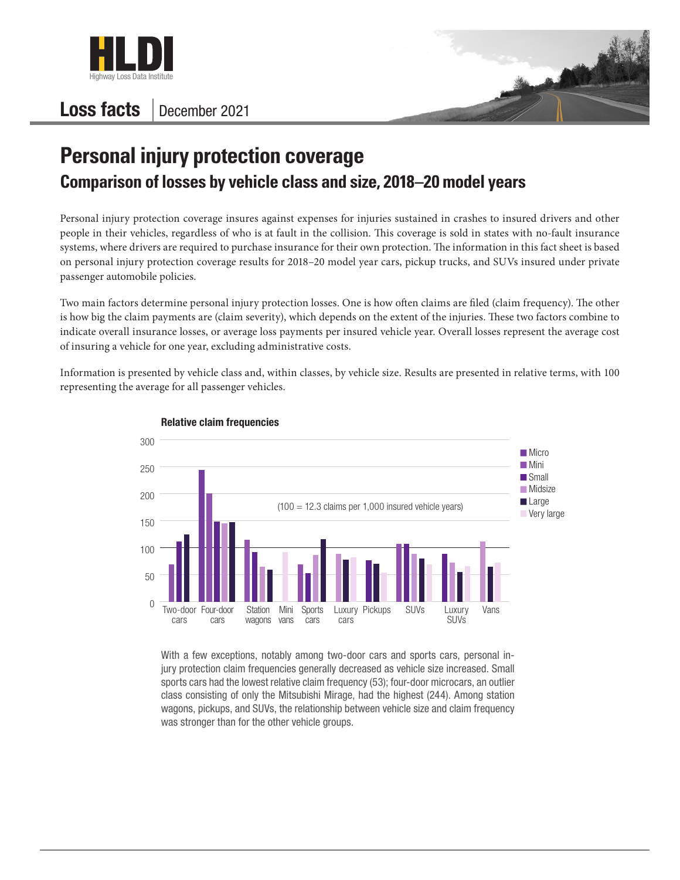

## Loss facts December 2021



## **Personal injury protection coverage Comparison of losses by vehicle class and size, 2018–20 model years**

Personal injury protection coverage insures against expenses for injuries sustained in crashes to insured drivers and other people in their vehicles, regardless of who is at fault in the collision. This coverage is sold in states with no-fault insurance systems, where drivers are required to purchase insurance for their own protection. The information in this fact sheet is based on personal injury protection coverage results for 2018–20 model year cars, pickup trucks, and SUVs insured under private passenger automobile policies.

Two main factors determine personal injury protection losses. One is how often claims are filed (claim frequency). The other is how big the claim payments are (claim severity), which depends on the extent of the injuries. These two factors combine to indicate overall insurance losses, or average loss payments per insured vehicle year. Overall losses represent the average cost of insuring a vehicle for one year, excluding administrative costs.

Information is presented by vehicle class and, within classes, by vehicle size. Results are presented in relative terms, with 100 representing the average for all passenger vehicles.



## Relative claim frequencies

With a few exceptions, notably among two-door cars and sports cars, personal injury protection claim frequencies generally decreased as vehicle size increased. Small sports cars had the lowest relative claim frequency (53); four-door microcars, an outlier class consisting of only the Mitsubishi Mirage, had the highest (244). Among station wagons, pickups, and SUVs, the relationship between vehicle size and claim frequency was stronger than for the other vehicle groups.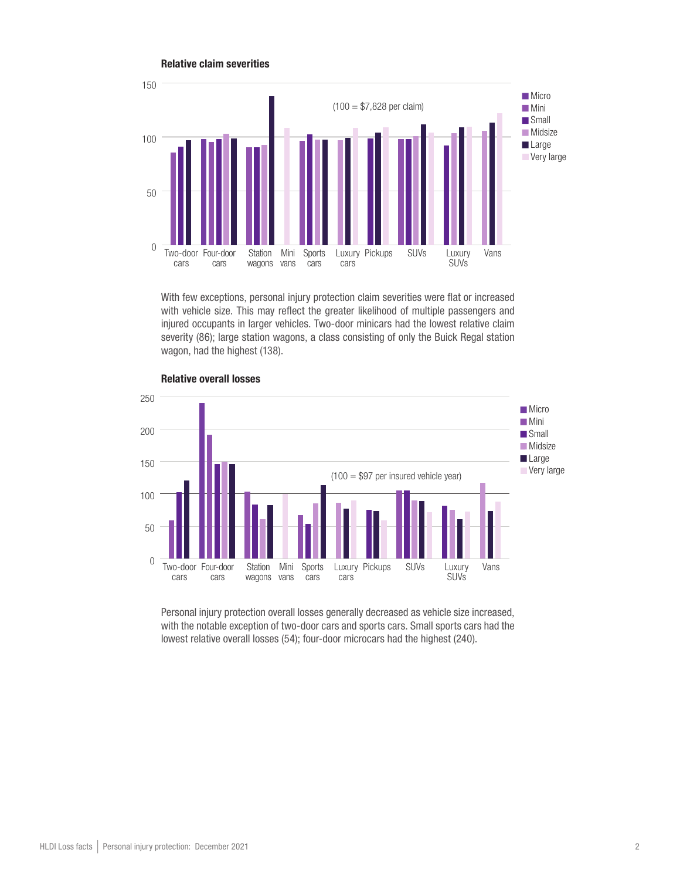

With few exceptions, personal injury protection claim severities were flat or increased with vehicle size. This may reflect the greater likelihood of multiple passengers and injured occupants in larger vehicles. Two-door minicars had the lowest relative claim severity (86); large station wagons, a class consisting of only the Buick Regal station wagon, had the highest (138).



Relative overall losses

Relative claim severities

Personal injury protection overall losses generally decreased as vehicle size increased, with the notable exception of two-door cars and sports cars. Small sports cars had the lowest relative overall losses (54); four-door microcars had the highest (240).